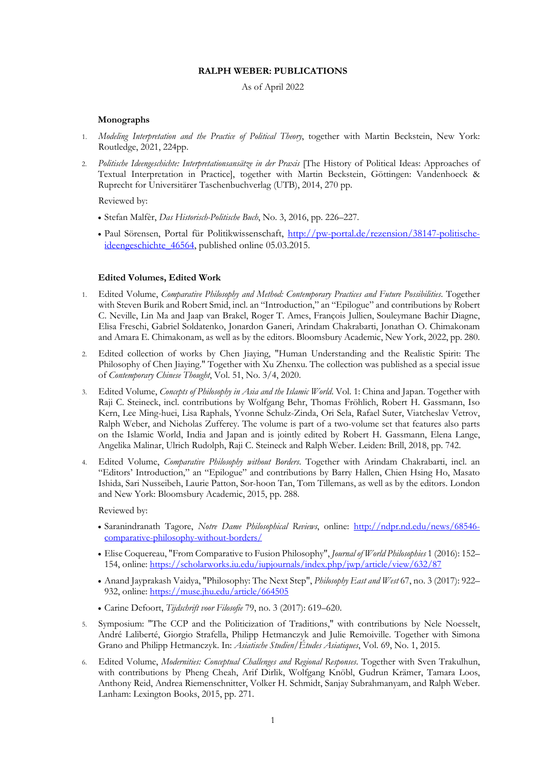#### **RALPH WEBER: PUBLICATIONS**

## As of April 2022

### **Monographs**

- 1. *Modeling Interpretation and the Practice of Political Theory*, together with Martin Beckstein, New York: Routledge, 2021, 224pp.
- 2. *Politische Ideengeschichte: Interpretationsansätze in der Praxis* [The History of Political Ideas: Approaches of Textual Interpretation in Practice], together with Martin Beckstein, Göttingen: Vandenhoeck & Ruprecht for Universitärer Taschenbuchverlag (UTB), 2014, 270 pp.

Reviewed by:

- Stefan Malfèr, *Das Historisch-Politische Buch*, No. 3, 2016, pp. 226–227.
- Paul Sörensen, Portal für Politikwissenschaft, http://pw-portal.de/rezension/38147-politischeideengeschichte\_46564, published online 05.03.2015.

### **Edited Volumes, Edited Work**

- 1. Edited Volume, *Comparative Philosophy and Method: Contemporary Practices and Future Possibilities*. Together with Steven Burik and Robert Smid, incl. an "Introduction," an "Epilogue" and contributions by Robert C. Neville, Lin Ma and Jaap van Brakel, Roger T. Ames, François Jullien, Souleymane Bachir Diagne, Elisa Freschi, Gabriel Soldatenko, Jonardon Ganeri, Arindam Chakrabarti, Jonathan O. Chimakonam and Amara E. Chimakonam, as well as by the editors. Bloomsbury Academic, New York, 2022, pp. 280.
- 2. Edited collection of works by Chen Jiaying, "Human Understanding and the Realistic Spirit: The Philosophy of Chen Jiaying." Together with Xu Zhenxu. The collection was published as a special issue of *Contemporary Chinese Thought*, Vol. 51, No. 3/4, 2020.
- 3. Edited Volume, *Concepts of Philosophy in Asia and the Islamic World*. Vol. 1: China and Japan. Together with Raji C. Steineck, incl. contributions by Wolfgang Behr, Thomas Fröhlich, Robert H. Gassmann, Iso Kern, Lee Ming-huei, Lisa Raphals, Yvonne Schulz-Zinda, Ori Sela, Rafael Suter, Viatcheslav Vetrov, Ralph Weber, and Nicholas Zufferey. The volume is part of a two-volume set that features also parts on the Islamic World, India and Japan and is jointly edited by Robert H. Gassmann, Elena Lange, Angelika Malinar, Ulrich Rudolph, Raji C. Steineck and Ralph Weber. Leiden: Brill, 2018, pp. 742.
- 4. Edited Volume, *Comparative Philosophy without Borders*. Together with Arindam Chakrabarti, incl. an "Editors' Introduction," an "Epilogue" and contributions by Barry Hallen, Chien Hsing Ho, Masato Ishida, Sari Nusseibeh, Laurie Patton, Sor-hoon Tan, Tom Tillemans, as well as by the editors. London and New York: Bloomsbury Academic, 2015, pp. 288.

Reviewed by:

- Saranindranath Tagore, *Notre Dame Philosophical Reviews*, online: http://ndpr.nd.edu/news/68546 comparative-philosophy-without-borders/
- Elise Coquereau, "From Comparative to Fusion Philosophy", *Journal of World Philosophies* 1 (2016): 152– 154, online: https://scholarworks.iu.edu/iupjournals/index.php/jwp/article/view/632/87
- Anand Jayprakash Vaidya, "Philosophy: The Next Step", *Philosophy East and West* 67, no. 3 (2017): 922– 932, online: https://muse.jhu.edu/article/664505
- Carine Defoort, *Tijdschrift voor Filosofie* 79, no. 3 (2017): 619–620.
- 5. Symposium: "The CCP and the Politicization of Traditions," with contributions by Nele Noesselt, André Laliberté, Giorgio Strafella, Philipp Hetmanczyk and Julie Remoiville. Together with Simona Grano and Philipp Hetmanczyk. In: *Asiatische Studien/Études Asiatiques*, Vol. 69, No. 1, 2015.
- 6. Edited Volume, *Modernities: Conceptual Challenges and Regional Responses*. Together with Sven Trakulhun, with contributions by Pheng Cheah, Arif Dirlik, Wolfgang Knöbl, Gudrun Krämer, Tamara Loos, Anthony Reid, Andrea Riemenschnitter, Volker H. Schmidt, Sanjay Subrahmanyam, and Ralph Weber. Lanham: Lexington Books, 2015, pp. 271.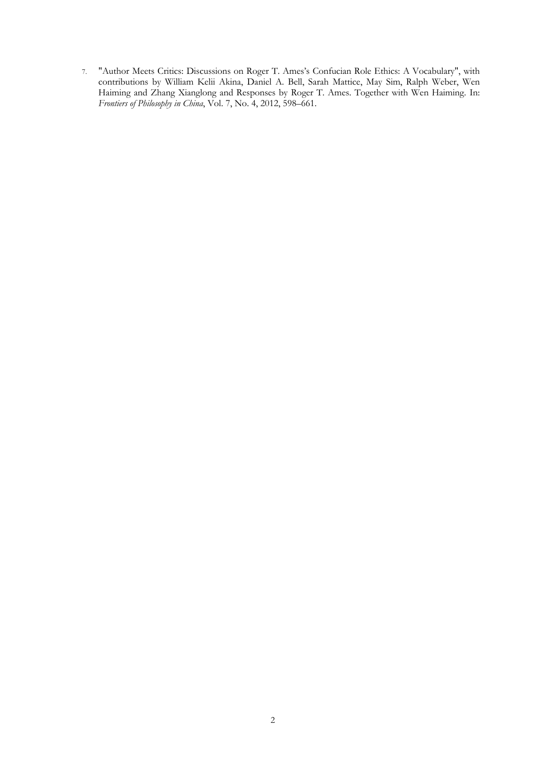7. "Author Meets Critics: Discussions on Roger T. Ames's Confucian Role Ethics: A Vocabulary", with contributions by William Kelii Akina, Daniel A. Bell, Sarah Mattice, May Sim, Ralph Weber, Wen Haiming and Zhang Xianglong and Responses by Roger T. Ames. Together with Wen Haiming. In: *Frontiers of Philosophy in China*, Vol. 7, No. 4, 2012, 598–661.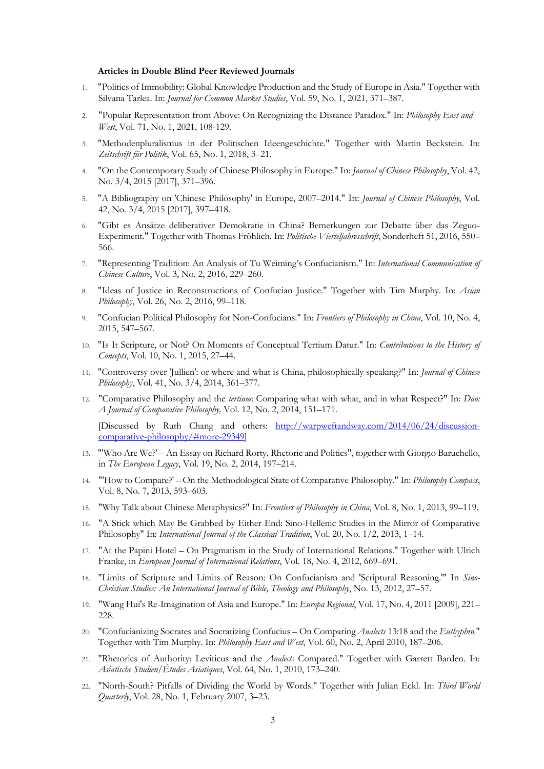#### **Articles in Double Blind Peer Reviewed Journals**

- 1. "Politics of Immobility: Global Knowledge Production and the Study of Europe in Asia." Together with Silvana Tarlea. In: *Journal for Common Market Studies*, Vol. 59, No. 1, 2021, 371–387.
- 2. "Popular Representation from Above: On Recognizing the Distance Paradox." In: *Philosophy East and West*, Vol. 71, No. 1, 2021, 108-129.
- 3. "Methodenpluralismus in der Politischen Ideengeschichte." Together with Martin Beckstein. In: *Zeitschrift für Politik*, Vol. 65, No. 1, 2018, 3–21.
- 4. "On the Contemporary Study of Chinese Philosophy in Europe." In: *Journal of Chinese Philosophy*, Vol. 42, No. 3/4, 2015 [2017], 371–396.
- 5. "A Bibliography on 'Chinese Philosophy' in Europe, 2007–2014." In: *Journal of Chinese Philosophy*, Vol. 42, No. 3/4, 2015 [2017], 397–418.
- 6. "Gibt es Ansätze deliberativer Demokratie in China? Bemerkungen zur Debatte über das Zeguo-Experiment." Together with Thomas Fröhlich. In: *Politische Vierteljahresschrift*, Sonderheft 51, 2016, 550– 566.
- 7. "Representing Tradition: An Analysis of Tu Weiming's Confucianism." In: *International Communication of Chinese Culture*, Vol. 3, No. 2, 2016, 229–260.
- 8. "Ideas of Justice in Reconstructions of Confucian Justice." Together with Tim Murphy. In: *Asian Philosophy*, Vol. 26, No. 2, 2016, 99–118.
- 9. "Confucian Political Philosophy for Non-Confucians." In: *Frontiers of Philosophy in China*, Vol. 10, No. 4, 2015, 547–567.
- 10. "Is It Scripture, or Not? On Moments of Conceptual Tertium Datur." In: *Contributions to the History of Concepts*, Vol. 10, No. 1, 2015, 27–44.
- 11. "Controversy over 'Jullien': or where and what is China, philosophically speaking?" In: *Journal of Chinese Philosophy*, Vol. 41, No. 3/4, 2014, 361–377.
- 12. "Comparative Philosophy and the *tertium*: Comparing what with what, and in what Respect?" In: *Dao: A Journal of Comparative Philosophy,* Vol. 12, No. 2, 2014, 151–171.

[Discussed by Ruth Chang and others: http://warpweftandway.com/2014/06/24/discussioncomparative-philosophy/#more-29349]

- 13. "'Who Are We?' An Essay on Richard Rorty, Rhetoric and Politics", together with Giorgio Baruchello, in *The European Legacy*, Vol. 19, No. 2, 2014, 197–214.
- 14. "'How to Compare?' On the Methodological State of Comparative Philosophy." In: *Philosophy Compass*, Vol. 8, No. 7, 2013, 593–603.
- 15. "Why Talk about Chinese Metaphysics?" In: *Frontiers of Philosophy in China*, Vol. 8, No. 1, 2013, 99–119.
- 16. "A Stick which May Be Grabbed by Either End: Sino-Hellenic Studies in the Mirror of Comparative Philosophy" In: *International Journal of the Classical Tradition*, Vol. 20, No. 1/2, 2013, 1–14.
- 17. "At the Papini Hotel On Pragmatism in the Study of International Relations." Together with Ulrich Franke, in *European Journal of International Relations*, Vol. 18, No. 4, 2012, 669–691.
- 18. "Limits of Scripture and Limits of Reason: On Confucianism and 'Scriptural Reasoning.'" In *Sino-Christian Studies: An International Journal of Bible, Theology and Philosophy*, No. 13, 2012, 27–57.
- 19. "Wang Hui's Re-Imagination of Asia and Europe." In: *Europa Regional*, Vol. 17, No. 4, 2011 [2009], 221– 228.
- 20. "Confucianizing Socrates and Socratizing Confucius On Comparing *Analects* 13:18 and the *Euthyphro*." Together with Tim Murphy. In: *Philosophy East and West*, Vol. 60, No. 2, April 2010, 187–206.
- 21. "Rhetorics of Authority: Leviticus and the *Analects* Compared." Together with Garrett Barden. In: *Asiatische Studien/Études Asiatiques*, Vol. 64, No. 1, 2010, 173–240.
- 22. "North-South? Pitfalls of Dividing the World by Words." Together with Julian Eckl. In: *Third World Quarterly*, Vol. 28, No. 1, February 2007, 3–23.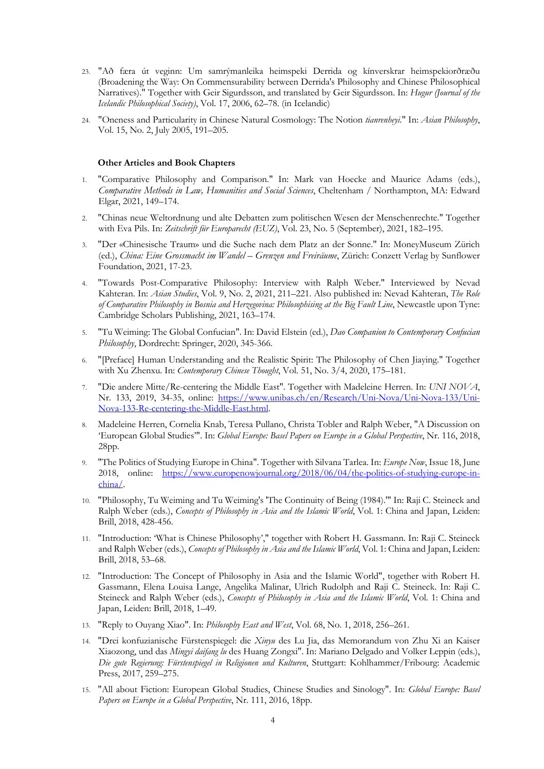- 23. "Að færa út veginn: Um samrýmanleika heimspeki Derrida og kínverskrar heimspekiorðræðu (Broadening the Way: On Commensurability between Derrida's Philosophy and Chinese Philosophical Narratives)." Together with Geir Sigurdsson, and translated by Geir Sigurdsson. In: *Hugur (Journal of the Icelandic Philosophical Society)*, Vol. 17, 2006, 62–78. (in Icelandic)
- 24. "Oneness and Particularity in Chinese Natural Cosmology: The Notion *tianrenheyi*." In: *Asian Philosophy*, Vol. 15, No. 2, July 2005, 191–205.

### **Other Articles and Book Chapters**

- 1. "Comparative Philosophy and Comparison." In: Mark van Hoecke and Maurice Adams (eds.), *Comparative Methods in Law, Humanities and Social Sciences*, Cheltenham / Northampton, MA: Edward Elgar, 2021, 149–174.
- 2. "Chinas neue Weltordnung und alte Debatten zum politischen Wesen der Menschenrechte." Together with Eva Pils. In: *Zeitschrift für Europarecht (EUZ)*, Vol. 23, No. 5 (September), 2021, 182–195.
- 3. "Der «Chinesische Traum» und die Suche nach dem Platz an der Sonne." In: MoneyMuseum Zürich (ed.), *China: Eine Grossmacht im Wandel – Grenzen und Freiräume*, Zürich: Conzett Verlag by Sunflower Foundation, 2021, 17-23.
- 4. "Towards Post-Comparative Philosophy: Interview with Ralph Weber." Interviewed by Nevad Kahteran. In: *Asian Studies*, Vol. 9, No. 2, 2021, 211–221. Also published in: Nevad Kahteran, *The Role of Comparative Philosophy in Bosnia and Herzegovina: Philosophising at the Big Fault Line*, Newcastle upon Tyne: Cambridge Scholars Publishing, 2021, 163–174.
- 5. "Tu Weiming: The Global Confucian". In: David Elstein (ed.), *Dao Companion to Contemporary Confucian Philosophy*, Dordrecht: Springer, 2020, 345-366.
- 6. "[Preface] Human Understanding and the Realistic Spirit: The Philosophy of Chen Jiaying." Together with Xu Zhenxu. In: *Contemporary Chinese Thought*, Vol. 51, No. 3/4, 2020, 175–181.
- 7. "Die andere Mitte/Re-centering the Middle East". Together with Madeleine Herren. In: *UNI NOVA*, Nr. 133, 2019, 34-35, online: https://www.unibas.ch/en/Research/Uni-Nova/Uni-Nova-133/Uni-Nova-133-Re-centering-the-Middle-East.html.
- 8. Madeleine Herren, Cornelia Knab, Teresa Pullano, Christa Tobler and Ralph Weber, "A Discussion on 'European Global Studies'". In: *Global Europe: Basel Papers on Europe in a Global Perspective*, Nr. 116, 2018, 28pp.
- 9. "The Politics of Studying Europe in China". Together with Silvana Tarlea. In: *Europe Now*, Issue 18, June 2018, online: https://www.europenowjournal.org/2018/06/04/the-politics-of-studying-europe-inchina/.
- 10. "Philosophy, Tu Weiming and Tu Weiming's 'The Continuity of Being (1984).'" In: Raji C. Steineck and Ralph Weber (eds.), *Concepts of Philosophy in Asia and the Islamic World*, Vol. 1: China and Japan, Leiden: Brill, 2018, 428-456.
- 11. "Introduction: 'What is Chinese Philosophy'," together with Robert H. Gassmann. In: Raji C. Steineck and Ralph Weber (eds.), *Concepts of Philosophy in Asia and the Islamic World*, Vol. 1: China and Japan, Leiden: Brill, 2018, 53–68.
- 12. "Introduction: The Concept of Philosophy in Asia and the Islamic World", together with Robert H. Gassmann, Elena Louisa Lange, Angelika Malinar, Ulrich Rudolph and Raji C. Steineck. In: Raji C. Steineck and Ralph Weber (eds.), *Concepts of Philosophy in Asia and the Islamic World*, Vol. 1: China and Japan, Leiden: Brill, 2018, 1–49.
- 13. "Reply to Ouyang Xiao". In: *Philosophy East and West*, Vol. 68, No. 1, 2018, 256–261.
- 14. "Drei konfuzianische Fürstenspiegel: die *Xinyu* des Lu Jia, das Memorandum von Zhu Xi an Kaiser Xiaozong, und das *Mingyi daifang lu* des Huang Zongxi". In: Mariano Delgado and Volker Leppin (eds.), *Die gute Regierung: Fürstenspiegel in Religionen und Kulturen*, Stuttgart: Kohlhammer/Fribourg: Academic Press, 2017, 259–275.
- 15. "All about Fiction: European Global Studies, Chinese Studies and Sinology". In: *Global Europe: Basel Papers on Europe in a Global Perspective*, Nr. 111, 2016, 18pp.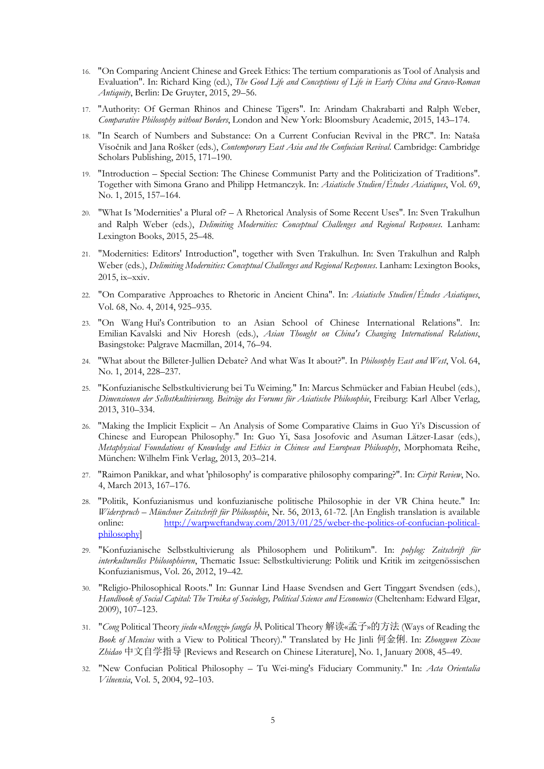- 16. "On Comparing Ancient Chinese and Greek Ethics: The tertium comparationis as Tool of Analysis and Evaluation". In: Richard King (ed.), *The Good Life and Conceptions of Life in Early China and Græco-Roman Antiquity*, Berlin: De Gruyter, 2015, 29–56.
- 17. "Authority: Of German Rhinos and Chinese Tigers". In: Arindam Chakrabarti and Ralph Weber, *Comparative Philosophy without Borders*, London and New York: Bloomsbury Academic, 2015, 143–174.
- 18. "In Search of Numbers and Substance: On a Current Confucian Revival in the PRC". In: Nataša Visočnik and Jana Rošker (eds.), *Contemporary East Asia and the Confucian Revival*. Cambridge: Cambridge Scholars Publishing, 2015, 171–190.
- 19. "Introduction Special Section: The Chinese Communist Party and the Politicization of Traditions". Together with Simona Grano and Philipp Hetmanczyk. In: *Asiatische Studien/Études Asiatiques*, Vol. 69, No. 1, 2015, 157–164.
- 20. "What Is 'Modernities' a Plural of? A Rhetorical Analysis of Some Recent Uses". In: Sven Trakulhun and Ralph Weber (eds.), *Delimiting Modernities: Conceptual Challenges and Regional Responses*. Lanham: Lexington Books, 2015, 25–48.
- 21. "Modernities: Editors' Introduction", together with Sven Trakulhun. In: Sven Trakulhun and Ralph Weber (eds.), *Delimiting Modernities: Conceptual Challenges and Regional Responses*. Lanham: Lexington Books, 2015, ix–xxiv.
- 22. "On Comparative Approaches to Rhetoric in Ancient China". In: *Asiatische Studien/Études Asiatiques*, Vol. 68, No. 4, 2014, 925–935.
- 23. "On Wang Hui's Contribution to an Asian School of Chinese International Relations". In: Emilian Kavalski and Niv Horesh (eds.), *Asian Thought on China's Changing International Relations*, Basingstoke: Palgrave Macmillan, 2014, 76–94.
- 24. "What about the Billeter-Jullien Debate? And what Was It about?". In *Philosophy East and West*, Vol. 64, No. 1, 2014, 228–237.
- 25. "Konfuzianische Selbstkultivierung bei Tu Weiming." In: Marcus Schmücker and Fabian Heubel (eds.), *Dimensionen der Selbstkultivierung. Beiträge des Forums für Asiatische Philosophie*, Freiburg: Karl Alber Verlag, 2013, 310–334.
- 26. "Making the Implicit Explicit An Analysis of Some Comparative Claims in Guo Yi's Discussion of Chinese and European Philosophy." In: Guo Yi, Sasa Josofovic and Asuman Lätzer-Lasar (eds.), *Metaphysical Foundations of Knowledge and Ethics in Chinese and European Philosophy*, Morphomata Reihe, München: Wilhelm Fink Verlag, 2013, 203–214.
- 27. "Raimon Panikkar, and what 'philosophy' is comparative philosophy comparing?". In: *Cirpit Review*, No. 4, March 2013, 167–176.
- 28. "Politik, Konfuzianismus und konfuzianische politische Philosophie in der VR China heute." In: *Widerspruch – Münchner Zeitschrift für Philosophie*, Nr. 56, 2013, 61-72. [An English translation is available online: http://warpweftandway.com/2013/01/25/weber-the-politics-of-confucian-politicalphilosophy]
- 29. "Konfuzianische Selbstkultivierung als Philosophem und Politikum". In: *polylog: Zeitschrift für interkulturelles Philosophieren*, Thematic Issue: Selbstkultivierung: Politik und Kritik im zeitgenössischen Konfuzianismus, Vol. 26, 2012, 19–42.
- 30. "Religio-Philosophical Roots." In: Gunnar Lind Haase Svendsen and Gert Tinggart Svendsen (eds.), *Handbook of Social Capital: The Troika of Sociology, Political Science and Economics* (Cheltenham: Edward Elgar, 2009), 107–123.
- 31. "*Cong* Political Theory *jiedu* «*Mengzi*» *fangfa* 从 Political Theory 解读«孟子»的方法 (Ways of Reading the *Book of Mencius* with a View to Political Theory)." Translated by He Jinli 何金俐. In: *Zhongwen Zixue Zhidao* 中文自学指导 [Reviews and Research on Chinese Literature], No. 1, January 2008, 45–49.
- 32. "New Confucian Political Philosophy Tu Wei-ming's Fiduciary Community." In: *Acta Orientalia Vilnensia*, Vol. 5, 2004, 92–103.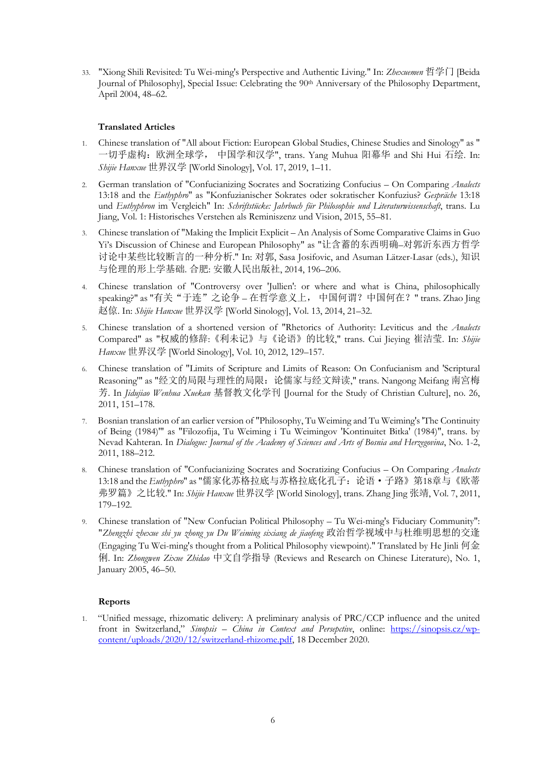33. "Xiong Shili Revisited: Tu Wei-ming's Perspective and Authentic Living." In: *Zhexuemen* 哲学门 [Beida Journal of Philosophy], Special Issue: Celebrating the 90th Anniversary of the Philosophy Department, April 2004, 48–62.

# **Translated Articles**

- 1. Chinese translation of "All about Fiction: European Global Studies, Chinese Studies and Sinology" as " 一切乎虚构:欧洲全球学, 中国学和汉学", trans. Yang Muhua 阳幕华 and Shi Hui 石绘. In: *Shijie Hanxue* 世界汉学 [World Sinology], Vol. 17, 2019, 1–11.
- 2. German translation of "Confucianizing Socrates and Socratizing Confucius On Comparing *Analects* 13:18 and the *Euthyphro*" as "Konfuzianischer Sokrates oder sokratischer Konfuzius? *Gespräche* 13:18 und *Euthyphron* im Vergleich" In: *Schriftstücke: Jahrbuch für Philosophie und Literaturwissenschaft*, trans. Lu Jiang, Vol. 1: Historisches Verstehen als Reminiszenz und Vision, 2015, 55–81.
- 3. Chinese translation of "Making the Implicit Explicit An Analysis of Some Comparative Claims in Guo Yi's Discussion of Chinese and European Philosophy" as "让含蓄的东西明确–对郭沂东西方哲学 讨论中某些比较断言的一种分析." In: 对郭, Sasa Josifovic, and Asuman Lätzer-Lasar (eds.), 知识 与伦理的形上学基础. 合肥: 安徽人民出版社, 2014, 196–206.
- 4. Chinese translation of "Controversy over 'Jullien': or where and what is China, philosophically speaking?" as "有关"于连"之论争 – 在哲学意义上, 中国何谓?中国何在?" trans. Zhao Jing 赵倞. In: *Shijie Hanxue* 世界汉学 [World Sinology], Vol. 13, 2014, 21–32.
- 5. Chinese translation of a shortened version of "Rhetorics of Authority: Leviticus and the *Analects* Compared" as "权威的修辞:《利未记》与《论语》的比较," trans. Cui Jieying 崔洁莹. In: *Shijie Hanxue* 世界汉学 [World Sinology], Vol. 10, 2012, 129–157.
- 6. Chinese translation of "Limits of Scripture and Limits of Reason: On Confucianism and 'Scriptural Reasoning'" as "经文的局限与理性的局限:论儒家与经文辩读," trans. Nangong Meifang 南宮梅 芳. In *Jidujiao Wenhua Xuekan* 基督教文化学刊 [Journal for the Study of Christian Culture], no. 26, 2011, 151–178.
- 7. Bosnian translation of an earlier version of "Philosophy, Tu Weiming and Tu Weiming's 'The Continuity of Being (1984)'" as "Filozofija, Tu Weiming i Tu Weimingov 'Kontinuitet Bitka' (1984)", trans. by Nevad Kahteran. In *Dialogue: Journal of the Academy of Sciences and Arts of Bosnia and Herzegovina*, No. 1-2, 2011, 188–212.
- 8. Chinese translation of "Confucianizing Socrates and Socratizing Confucius On Comparing *Analects* 13:18 and the *Euthyphro*" as "儒家化苏格拉底与苏格拉底化孔子:论语·子路》第18章与《欧蒂 弗罗篇》之比较." In: *Shijie Hanxue* 世界汉学 [World Sinology], trans. Zhang Jing 张靖, Vol. 7, 2011, 179–192.
- 9. Chinese translation of "New Confucian Political Philosophy Tu Wei-ming's Fiduciary Community": "*Zhengzhi zhexue shi yu zhong yu Du Weiming sixiang de jiaofeng* 政治哲学视域中与杜维明思想的交逢 (Engaging Tu Wei-ming's thought from a Political Philosophy viewpoint)." Translated by He Jinli 何金 俐. In: *Zhongwen Zixue Zhidao* 中文自学指导 (Reviews and Research on Chinese Literature), No. 1, January 2005, 46–50.

## **Reports**

1. "Unified message, rhizomatic delivery: A preliminary analysis of PRC/CCP influence and the united front in Switzerland," *Sinopsis – China in Context and Persepctive*, online: https://sinopsis.cz/wpcontent/uploads/2020/12/switzerland-rhizome.pdf, 18 December 2020.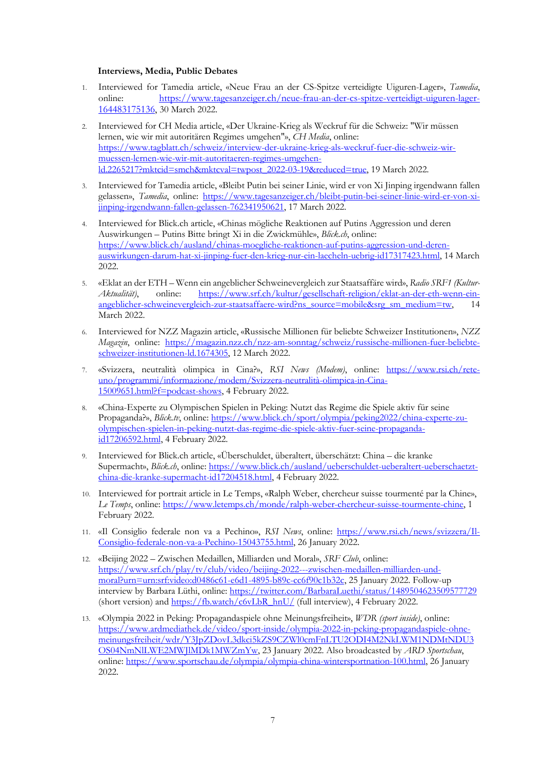### **Interviews, Media, Public Debates**

- 1. Interviewed for Tamedia article, «Neue Frau an der CS-Spitze verteidigte Uiguren-Lager», *Tamedia*, online: https://www.tagesanzeiger.ch/neue-frau-an-der-cs-spitze-verteidigt-uiguren-lager-164483175136, 30 March 2022.
- 2. Interviewed for CH Media article, «Der Ukraine-Krieg als Weckruf für die Schweiz: "Wir müssen lernen, wie wir mit autoritären Regimes umgehen"», *CH Media*, online: https://www.tagblatt.ch/schweiz/interview-der-ukraine-krieg-als-weckruf-fuer-die-schweiz-wirmuessen-lernen-wie-wir-mit-autoritaeren-regimes-umgehenld.2265217?mktcid=smch&mktcval=twpost\_2022-03-19&reduced=true, 19 March 2022.
- 3. Interviewed for Tamedia article, «Bleibt Putin bei seiner Linie, wird er von Xi Jinping irgendwann fallen gelassen», *Tamedia*, online: https://www.tagesanzeiger.ch/bleibt-putin-bei-seiner-linie-wird-er-von-xijinping-irgendwann-fallen-gelassen-762341950621, 17 March 2022.
- 4. Interviewed for Blick.ch article, «Chinas mögliche Reaktionen auf Putins Aggression und deren Auswirkungen – Putins Bitte bringt Xi in die Zwickmühle», *Blick.ch*, online: https://www.blick.ch/ausland/chinas-moegliche-reaktionen-auf-putins-aggression-und-derenauswirkungen-darum-hat-xi-jinping-fuer-den-krieg-nur-ein-laecheln-uebrig-id17317423.html, 14 March 2022.
- 5. «Eklat an der ETH Wenn ein angeblicher Schweinevergleich zur Staatsaffäre wird», *Radio SRF1 (Kultur-Aktualität)*, online: https://www.srf.ch/kultur/gesellschaft-religion/eklat-an-der-eth-wenn-einangeblicher-schweinevergleich-zur-staatsaffaere-wird?ns\_source=mobile&srg\_sm\_medium=tw, 14 March 2022.
- 6. Interviewed for NZZ Magazin article, «Russische Millionen für beliebte Schweizer Institutionen», *NZZ Magazin*, online: https://magazin.nzz.ch/nzz-am-sonntag/schweiz/russische-millionen-fuer-beliebteschweizer-institutionen-ld.1674305, 12 March 2022.
- 7. «Svizzera, neutralità olimpica in Cina?», *RSI News (Modem)*, online: https://www.rsi.ch/reteuno/programmi/informazione/modem/Svizzera-neutralità-olimpica-in-Cina-15009651.html?f=podcast-shows, 4 February 2022.
- 8. «China-Experte zu Olympischen Spielen in Peking: Nutzt das Regime die Spiele aktiv für seine Propaganda?», *Blick.tv*, online: https://www.blick.ch/sport/olympia/peking2022/china-experte-zuolympischen-spielen-in-peking-nutzt-das-regime-die-spiele-aktiv-fuer-seine-propagandaid17206592.html, 4 February 2022.
- 9. Interviewed for Blick.ch article, «Überschuldet, überaltert, überschätzt: China die kranke Supermacht», *Blick.ch*, online: https://www.blick.ch/ausland/ueberschuldet-ueberaltert-ueberschaetztchina-die-kranke-supermacht-id17204518.html, 4 February 2022.
- 10. Interviewed for portrait article in Le Temps, «Ralph Weber, chercheur suisse tourmenté par la Chine», *Le Temps*, online: https://www.letemps.ch/monde/ralph-weber-chercheur-suisse-tourmente-chine, 1 February 2022.
- 11. «Il Consiglio federale non va a Pechino», *RSI News*, online: https://www.rsi.ch/news/svizzera/Il-Consiglio-federale-non-va-a-Pechino-15043755.html, 26 January 2022.
- 12. «Beijing 2022 Zwischen Medaillen, Milliarden und Moral», *SRF Club*, online: https://www.srf.ch/play/tv/club/video/beijing-2022---zwischen-medaillen-milliarden-undmoral?urn=urn:srf:video:d0486c61-e6d1-4895-b89c-cc6f90c1b32c, 25 January 2022. Follow-up interview by Barbara Lüthi, online: https://twitter.com/BarbaraLuethi/status/1489504623509577729 (short version) and https://fb.watch/c6vLbR\_hnU/ (full interview), 4 February 2022.
- 13. «Olympia 2022 in Peking: Propagandaspiele ohne Meinungsfreiheit», *WDR (sport inside)*, online: https://www.ardmediathek.de/video/sport-inside/olympia-2022-in-peking-propagandaspiele-ohnemeinungsfreiheit/wdr/Y3JpZDovL3dkci5kZS9CZWl0cmFnLTU2ODI4M2NkLWM1NDMtNDU3 OS04NmNlLWE2MWJlMDk1MWZmYw, 23 January 2022. Also broadcasted by *ARD Sportschau*, online: https://www.sportschau.de/olympia/olympia-china-wintersportnation-100.html, 26 January 2022.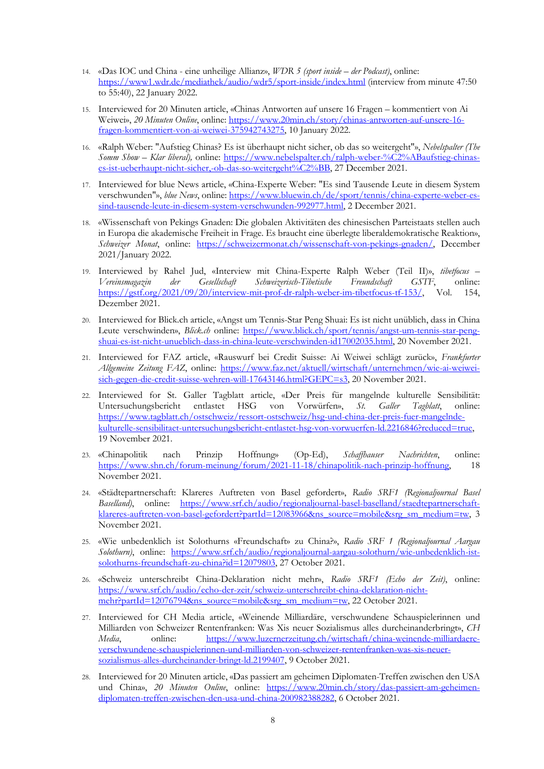- 14. «Das IOC und China eine unheilige Allianz», *WDR 5 (sport inside – der Podcast)*, online: https://www1.wdr.de/mediathek/audio/wdr5/sport-inside/index.html (interview from minute 47:50 to 55:40), 22 January 2022.
- 15. Interviewed for 20 Minuten article, «Chinas Antworten auf unsere 16 Fragen kommentiert von Ai Weiwei», *20 Minuten Online*, online: https://www.20min.ch/story/chinas-antworten-auf-unsere-16 fragen-kommentiert-von-ai-weiwei-375942743275, 10 January 2022.
- 16. «Ralph Weber: "Aufstieg Chinas? Es ist überhaupt nicht sicher, ob das so weitergeht"», *Nebelspalter (The Somm Show – Klar liberal),* online: https://www.nebelspalter.ch/ralph-weber-%C2%ABaufstieg-chinases-ist-ueberhaupt-nicht-sicher,-ob-das-so-weitergeht%C2%BB, 27 December 2021.
- 17. Interviewed for blue News article, «China-Experte Weber: "Es sind Tausende Leute in diesem System verschwunden"», *blue News*, online: https://www.bluewin.ch/de/sport/tennis/china-experte-weber-essind-tausende-leute-in-diesem-system-verschwunden-992977.html, 2 December 2021.
- 18. «Wissenschaft von Pekings Gnaden: Die globalen Aktivitäten des chinesischen Parteistaats stellen auch in Europa die akademische Freiheit in Frage. Es braucht eine überlegte liberaldemokratische Reaktion», *Schweizer Monat*, online: https://schweizermonat.ch/wissenschaft-von-pekings-gnaden/, December 2021/January 2022.
- 19. Interviewed by Rahel Jud, «Interview mit China-Experte Ralph Weber (Teil II)», *tibetfocus – Vereinsmagazin der Gesellschaft Schweizerisch-Tibetische Freundschaft GSTF*, online: https://gstf.org/2021/09/20/interview-mit-prof-dr-ralph-weber-im-tibetfocus-tf-153/, Vol. 154, Dezember 2021.
- 20. Interviewed for Blick.ch article, «Angst um Tennis-Star Peng Shuai: Es ist nicht unüblich, dass in China Leute verschwinden», *Blick.ch* online: https://www.blick.ch/sport/tennis/angst-um-tennis-star-pengshuai-es-ist-nicht-unueblich-dass-in-china-leute-verschwinden-id17002035.html, 20 November 2021.
- 21. Interviewed for FAZ article, «Rauswurf bei Credit Suisse: Ai Weiwei schlägt zurück», *Frankfurter Allgemeine Zeitung FAZ*, online: https://www.faz.net/aktuell/wirtschaft/unternehmen/wie-ai-weiweisich-gegen-die-credit-suisse-wehren-will-17643146.html?GEPC=s3, 20 November 2021.
- 22. Interviewed for St. Galler Tagblatt article, «Der Preis für mangelnde kulturelle Sensibilität: Untersuchungsbericht entlastet HSG von Vorwürfen», *St. Galler Tagblatt*, online: https://www.tagblatt.ch/ostschweiz/ressort-ostschweiz/hsg-und-china-der-preis-fuer-mangelndekulturelle-sensibilitaet-untersuchungsbericht-entlastet-hsg-von-vorwuerfen-ld.2216846?reduced=true, 19 November 2021.
- 23. «Chinapolitik nach Prinzip Hoffnung» (Op-Ed), *Schaffhauser Nachrichten*, online: https://www.shn.ch/forum-meinung/forum/2021-11-18/chinapolitik-nach-prinzip-hoffnung, 18 November 2021.
- 24. «Städtepartnerschaft: Klareres Auftreten von Basel gefordert», *Radio SRF1 (Regionaljournal Basel Baselland)*, online: https://www.srf.ch/audio/regionaljournal-basel-baselland/staedtepartnerschaftklareres-auftreten-von-basel-gefordert?partId=12083966&ns\_source=mobile&srg\_sm\_medium=tw, 3 November 2021.
- 25. «Wie unbedenklich ist Solothurns «Freundschaft» zu China?», *Radio SRF 1 (Regionaljournal Aargau Solothurn)*, online: https://www.srf.ch/audio/regionaljournal-aargau-solothurn/wie-unbedenklich-istsolothurns-freundschaft-zu-china?id=12079803, 27 October 2021.
- 26. «Schweiz unterschreibt China-Deklaration nicht mehr», *Radio SRF1 (Echo der Zeit)*, online: https://www.srf.ch/audio/echo-der-zeit/schweiz-unterschreibt-china-deklaration-nichtmehr?partId=12076794&ns\_source=mobile&srg\_sm\_medium=tw, 22 October 2021.
- 27. Interviewed for CH Media article, «Weinende Milliardäre, verschwundene Schauspielerinnen und Milliarden von Schweizer Rentenfranken: Was Xis neuer Sozialismus alles durcheinanderbringt», *CH Media*, online: https://www.luzernerzeitung.ch/wirtschaft/china-weinende-milliardaereverschwundene-schauspielerinnen-und-milliarden-von-schweizer-rentenfranken-was-xis-neuersozialismus-alles-durcheinander-bringt-ld.2199407, 9 October 2021.
- 28. Interviewed for 20 Minuten article, «Das passiert am geheimen Diplomaten-Treffen zwischen den USA und China», 20 Minuten Online, online: https://www.20min.ch/story/das-passiert-am-geheimendiplomaten-treffen-zwischen-den-usa-und-china-200982388282, 6 October 2021.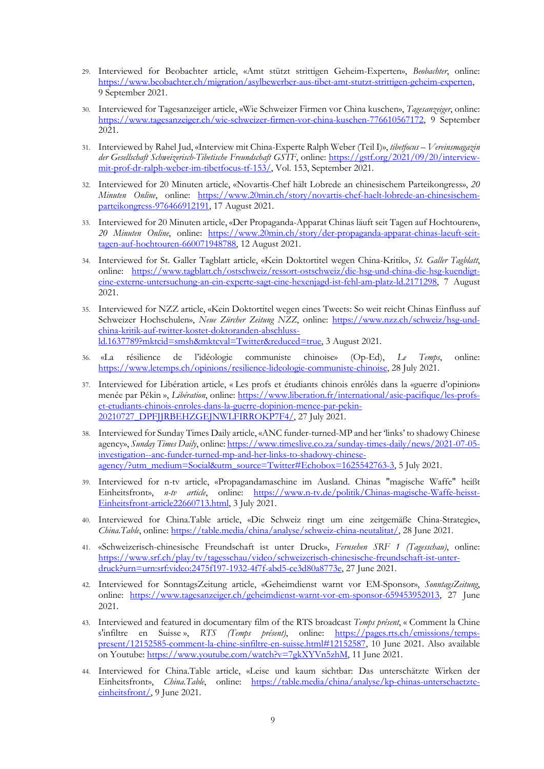- 29. Interviewed for Beobachter article, «Amt stützt strittigen Geheim-Experten», *Beobachter*, online: https://www.beobachter.ch/migration/asylbewerber-aus-tibet-amt-stutzt-strittigen-geheim-experten, 9 September 2021.
- 30. Interviewed for Tagesanzeiger article, «Wie Schweizer Firmen vor China kuschen», *Tagesanzeiger*, online: https://www.tagesanzeiger.ch/wie-schweizer-firmen-vor-china-kuschen-776610567172, 9 September 2021.
- 31. Interviewed by Rahel Jud, «Interview mit China-Experte Ralph Weber (Teil I)», *tibetfocus – Vereinsmagazin der Gesellschaft Schweizerisch-Tibetische Freundschaft GSTF*, online: https://gstf.org/2021/09/20/interviewmit-prof-dr-ralph-weber-im-tibetfocus-tf-153/, Vol. 153, September 2021.
- 32. Interviewed for 20 Minuten article, «Novartis-Chef hält Lobrede an chinesischem Parteikongress», *20 Minuten Online*, online: https://www.20min.ch/story/novartis-chef-haelt-lobrede-an-chinesischemparteikongress-976466912191, 17 August 2021.
- 33. Interviewed for 20 Minuten article, «Der Propaganda-Apparat Chinas läuft seit Tagen auf Hochtouren», *20 Minuten Online*, online: https://www.20min.ch/story/der-propaganda-apparat-chinas-laeuft-seittagen-auf-hochtouren-660071948788, 12 August 2021.
- 34. Interviewed for St. Galler Tagblatt article, «Kein Doktortitel wegen China-Kritik», *St. Galler Tagblatt*, online: https://www.tagblatt.ch/ostschweiz/ressort-ostschweiz/die-hsg-und-china-die-hsg-kuendigteine-externe-untersuchung-an-ein-experte-sagt-eine-hexenjagd-ist-fehl-am-platz-ld.2171298, 7 August 2021.
- 35. Interviewed for NZZ article, «Kein Doktortitel wegen eines Tweets: So weit reicht Chinas Einfluss auf Schweizer Hochschulen», *Neue Zürcher Zeitung NZZ*, online: https://www.nzz.ch/schweiz/hsg-undchina-kritik-auf-twitter-kostet-doktoranden-abschlussld.1637789?mktcid=smsh&mktcval=Twitter&reduced=true, 3 August 2021.
- 36. «La résilience de l'idéologie communiste chinoise» (Op-Ed), *Le Temps*, online: https://www.letemps.ch/opinions/resilience-lideologie-communiste-chinoise, 28 July 2021.
- 37. Interviewed for Libération article, « Les profs et étudiants chinois enrôlés dans la «guerre d'opinion» menée par Pékin », *Libération*, online: https://www.liberation.fr/international/asie-pacifique/les-profset-etudiants-chinois-enroles-dans-la-guerre-dopinion-menee-par-pekin-20210727\_DPFJJRBEHZGEJNWLFIRROKP7F4/, 27 July 2021.
- 38. Interviewed for Sunday Times Daily article, «ANC funder-turned-MP and her 'links' to shadowy Chinese agency», *Sunday Times Daily*, online: https://www.timeslive.co.za/sunday-times-daily/news/2021-07-05 investigation--anc-funder-turned-mp-and-her-links-to-shadowy-chineseagency/?utm\_medium=Social&utm\_source=Twitter#Echobox=1625542763-3, 5 July 2021.
- 39. Interviewed for n-tv article, «Propagandamaschine im Ausland. Chinas "magische Waffe" heißt Einheitsfront», *n-tv article*, online: https://www.n-tv.de/politik/Chinas-magische-Waffe-heisst-Einheitsfront-article22660713.html, 3 July 2021.
- 40. Interviewed for China.Table article, «Die Schweiz ringt um eine zeitgemäße China-Strategie», *China.Table*, online: https://table.media/china/analyse/schweiz-china-neutalitat/, 28 June 2021.
- 41. «Schweizerisch-chinesische Freundschaft ist unter Druck», *Fernsehen SRF 1 (Tagesschau)*, online: https://www.srf.ch/play/tv/tagesschau/video/schweizerisch-chinesische-freundschaft-ist-unterdruck?urn=urn:srf:video:2475f197-1932-4f7f-abd5-ce3d80a8773e, 27 June 2021.
- 42. Interviewed for SonntagsZeitung article, «Geheimdienst warnt vor EM-Sponsor», *SonntagsZeitung*, online: https://www.tagesanzeiger.ch/geheimdienst-warnt-vor-em-sponsor-659453952013, 27 June 2021.
- 43. Interviewed and featured in documentary film of the RTS broadcast *Temps présent*, « Comment la Chine s'infiltre en Suisse », *RTS (Temps présent)*, online: https://pages.rts.ch/emissions/tempspresent/12152585-comment-la-chine-sinfiltre-en-suisse.html#12152587, 10 June 2021. Also available on Youtube: https://www.youtube.com/watch?v=7gkXYVn5zhM, 11 June 2021.
- 44. Interviewed for China.Table article, «Leise und kaum sichtbar: Das unterschätzte Wirken der Einheitsfront», *China.Table*, online: https://table.media/china/analyse/kp-chinas-unterschaetzteeinheitsfront/, 9 June 2021.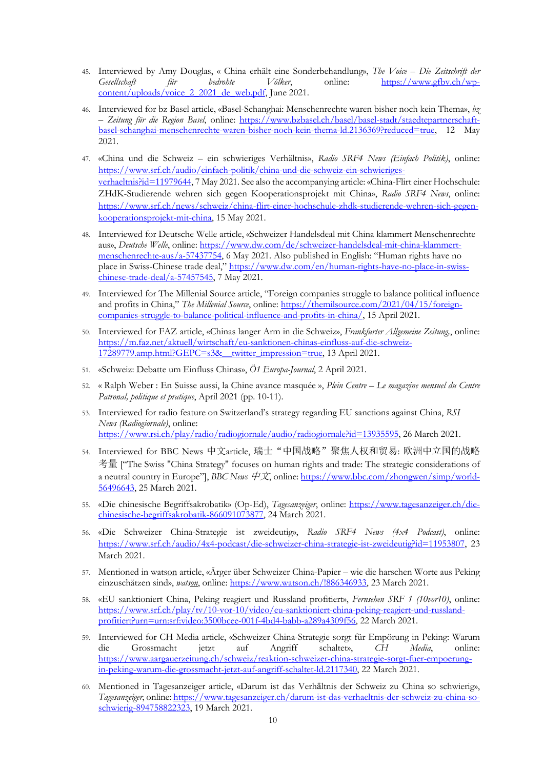- 45. Interviewed by Amy Douglas, « China erhält eine Sonderbehandlung», *The Voice – Die Zeitschrift der Gesellschaft für bedrohte Völker*, online: https://www.gfbv.ch/wpcontent/uploads/voice\_2\_2021\_de\_web.pdf, June 2021.
- 46. Interviewed for bz Basel article, «Basel-Schanghai: Menschenrechte waren bisher noch kein Thema», *bz – Zeitung für die Region Basel*, online: https://www.bzbasel.ch/basel/basel-stadt/staedtepartnerschaftbasel-schanghai-menschenrechte-waren-bisher-noch-kein-thema-ld.2136369?reduced=true, 12 May 2021.
- 47. «China und die Schweiz ein schwieriges Verhältnis», *Radio SRF4 News (Einfach Politik)*, online: https://www.srf.ch/audio/einfach-politik/china-und-die-schweiz-ein-schwierigesverhaeltnis?id=11979644, 7 May 2021. See also the accompanying article: «China-Flirt einer Hochschule: ZHdK-Studierende wehren sich gegen Kooperationsprojekt mit China», *Radio SRF4 News*, online: https://www.srf.ch/news/schweiz/china-flirt-einer-hochschule-zhdk-studierende-wehren-sich-gegenkooperationsprojekt-mit-china, 15 May 2021.
- 48. Interviewed for Deutsche Welle article, «Schweizer Handelsdeal mit China klammert Menschenrechte aus», *Deutsche Welle*, online: https://www.dw.com/de/schweizer-handelsdeal-mit-china-klammertmenschenrechte-aus/a-57437754, 6 May 2021. Also published in English: "Human rights have no place in Swiss-Chinese trade deal," https://www.dw.com/en/human-rights-have-no-place-in-swisschinese-trade-deal/a-57457545, 7 May 2021.
- 49. Interviewed for The Millenial Source article, "Foreign companies struggle to balance political influence and profits in China," *The Millenial Source*, online: https://themilsource.com/2021/04/15/foreigncompanies-struggle-to-balance-political-influence-and-profits-in-china/, 15 April 2021.
- 50. Interviewed for FAZ article, «Chinas langer Arm in die Schweiz», *Frankfurter Allgemeine Zeitung,*, online: https://m.faz.net/aktuell/wirtschaft/eu-sanktionen-chinas-einfluss-auf-die-schweiz-17289779.amp.html?GEPC=s3&\_\_twitter\_impression=true, 13 April 2021.
- 51. «Schweiz: Debatte um Einfluss Chinas», *Ö1 Europa-Journal*, 2 April 2021.
- 52. « Ralph Weber : En Suisse aussi, la Chine avance masquée », *Plein Centre – Le magazine mensuel du Centre Patronal, politique et pratique*, April 2021 (pp. 10-11).
- 53. Interviewed for radio feature on Switzerland's strategy regarding EU sanctions against China, *RSI News (Radiogiornale)*, online: https://www.rsi.ch/play/radio/radiogiornale/audio/radiogiornale?id=13935595, 26 March 2021.
- 54. Interviewed for BBC News 中文article, 瑞士"中国战略"聚焦人权和贸易: 欧洲中立国的战略 考量 ["The Swiss "China Strategy" focuses on human rights and trade: The strategic considerations of a neutral country in Europe"], *BBC News* 中文, online: https://www.bbc.com/zhongwen/simp/world-56496643, 25 March 2021.
- 55. «Die chinesische Begriffsakrobatik» (Op-Ed), *Tagesanzeiger*, online: https://www.tagesanzeiger.ch/diechinesische-begriffsakrobatik-866091073877, 24 March 2021.
- 56. «Die Schweizer China-Strategie ist zweideutig», *Radio SRF4 News (4x4 Podcast)*, online: https://www.srf.ch/audio/4x4-podcast/die-schweizer-china-strategie-ist-zweideutig?id=11953807, 23 March 2021.
- 57. Mentioned in watson article, «Ärger über Schweizer China-Papier wie die harschen Worte aus Peking einzuschätzen sind», *watson*, online: https://www.watson.ch/!886346933, 23 March 2021.
- 58. «EU sanktioniert China, Peking reagiert und Russland profitiert», *Fernsehen SRF 1 (10vor10)*, online: https://www.srf.ch/play/tv/10-vor-10/video/eu-sanktioniert-china-peking-reagiert-und-russlandprofitiert?urn=urn:srf:video:3500bcee-001f-4bd4-babb-a289a4309f56, 22 March 2021.
- 59. Interviewed for CH Media article, «Schweizer China-Strategie sorgt für Empörung in Peking: Warum die Grossmacht jetzt auf Angriff schaltet», *CH Media*, online: https://www.aargauerzeitung.ch/schweiz/reaktion-schweizer-china-strategie-sorgt-fuer-empoerungin-peking-warum-die-grossmacht-jetzt-auf-angriff-schaltet-ld.2117340, 22 March 2021.
- 60. Mentioned in Tagesanzeiger article, «Darum ist das Verhältnis der Schweiz zu China so schwierig», *Tagesanzeiger*, online: https://www.tagesanzeiger.ch/darum-ist-das-verhaeltnis-der-schweiz-zu-china-soschwierig-894758822323, 19 March 2021.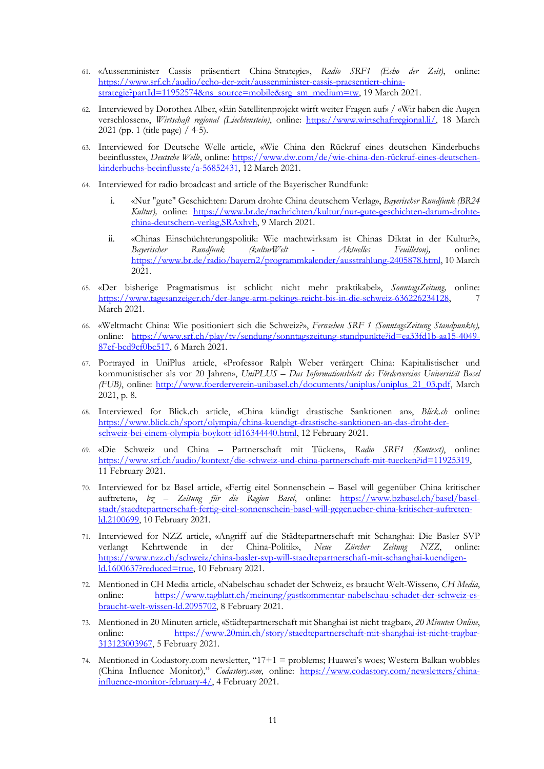- 61. «Aussenminister Cassis präsentiert China-Strategie», *Radio SRF1 (Echo der Zeit)*, online: https://www.srf.ch/audio/echo-der-zeit/aussenminister-cassis-praesentiert-chinastrategie?partId=11952574&ns\_source=mobile&srg\_sm\_medium=tw, 19 March 2021.
- 62. Interviewed by Dorothea Alber, «Ein Satellitenprojekt wirft weiter Fragen auf» / «Wir haben die Augen verschlossen», *Wirtschaft regional (Liechtenstein)*, online: https://www.wirtschaftregional.li/, 18 March 2021 (pp. 1 (title page) / 4-5).
- 63. Interviewed for Deutsche Welle article, «Wie China den Rückruf eines deutschen Kinderbuchs beeinflusste», *Deutsche Welle*, online: https://www.dw.com/de/wie-china-den-rückruf-eines-deutschenkinderbuchs-beeinflusste/a-56852431, 12 March 2021.
- 64. Interviewed for radio broadcast and article of the Bayerischer Rundfunk:
	- i. «Nur "gute" Geschichten: Darum drohte China deutschem Verlag», *Bayerischer Rundfunk (BR24 Kultur),* online: https://www.br.de/nachrichten/kultur/nur-gute-geschichten-darum-drohtechina-deutschem-verlag,SRAxhvh, 9 March 2021.
	- ii. «Chinas Einschüchterungspolitik: Wie machtwirksam ist Chinas Diktat in der Kultur?», *Bayerischer Rundfunk (kulturWelt - Aktuelles Feuilleton),* online: https://www.br.de/radio/bayern2/programmkalender/ausstrahlung-2405878.html, 10 March 2021.
- 65. «Der bisherige Pragmatismus ist schlicht nicht mehr praktikabel», *SonntagsZeitung,* online: https://www.tagesanzeiger.ch/der-lange-arm-pekings-reicht-bis-in-die-schweiz-636226234128, 7 March 2021.
- 66. «Weltmacht China: Wie positioniert sich die Schweiz?», *Fernsehen SRF 1 (SonntagsZeitung Standpunkte),* online: https://www.srf.ch/play/tv/sendung/sonntagszeitung-standpunkte?id=ea33fd1b-aa15-4049- 87ef-bcd9cf0bc517, 6 March 2021.
- 67. Portrayed in UniPlus article, «Professor Ralph Weber verärgert China: Kapitalistischer und kommunistischer als vor 20 Jahren», *UniPLUS – Das Informationsblatt des Fördervereins Universität Basel (FUB)*, online: http://www.foerderverein-unibasel.ch/documents/uniplus/uniplus\_21\_03.pdf, March 2021, p. 8.
- 68. Interviewed for Blick.ch article, «China kündigt drastische Sanktionen an», *Blick.ch* online: https://www.blick.ch/sport/olympia/china-kuendigt-drastische-sanktionen-an-das-droht-derschweiz-bei-einem-olympia-boykott-id16344440.html, 12 February 2021.
- 69. «Die Schweiz und China Partnerschaft mit Tücken», *Radio SRF1 (Kontext)*, online: https://www.srf.ch/audio/kontext/die-schweiz-und-china-partnerschaft-mit-tuecken?id=11925319, 11 February 2021.
- 70. Interviewed for bz Basel article, «Fertig eitel Sonnenschein Basel will gegenüber China kritischer auftreten», *bz – Zeitung für die Region Basel*, online: https://www.bzbasel.ch/basel/baselstadt/staedtepartnerschaft-fertig-eitel-sonnenschein-basel-will-gegenueber-china-kritischer-auftretenld.2100699, 10 February 2021.
- 71. Interviewed for NZZ article, «Angriff auf die Städtepartnerschaft mit Schanghai: Die Basler SVP verlangt Kehrtwende in der China-Politik», *Neue Zürcher Zeitung NZZ*, online: https://www.nzz.ch/schweiz/china-basler-svp-will-staedtepartnerschaft-mit-schanghai-kuendigenld.1600637?reduced=true, 10 February 2021.
- 72. Mentioned in CH Media article, «Nabelschau schadet der Schweiz, es braucht Welt-Wissen», *CH Media*, online: https://www.tagblatt.ch/meinung/gastkommentar-nabelschau-schadet-der-schweiz-esbraucht-welt-wissen-ld.2095702, 8 February 2021.
- 73. Mentioned in 20 Minuten article, «Städtepartnerschaft mit Shanghai ist nicht tragbar», *20 Minuten Online*, online: https://www.20min.ch/story/staedtepartnerschaft-mit-shanghai-ist-nicht-tragbar-313123003967, 5 February 2021.
- 74. Mentioned in Codastory.com newsletter, "17+1 = problems; Huawei's woes; Western Balkan wobbles (China Influence Monitor)," *Codastory.com*, online: https://www.codastory.com/newsletters/chinainfluence-monitor-february-4/, 4 February 2021.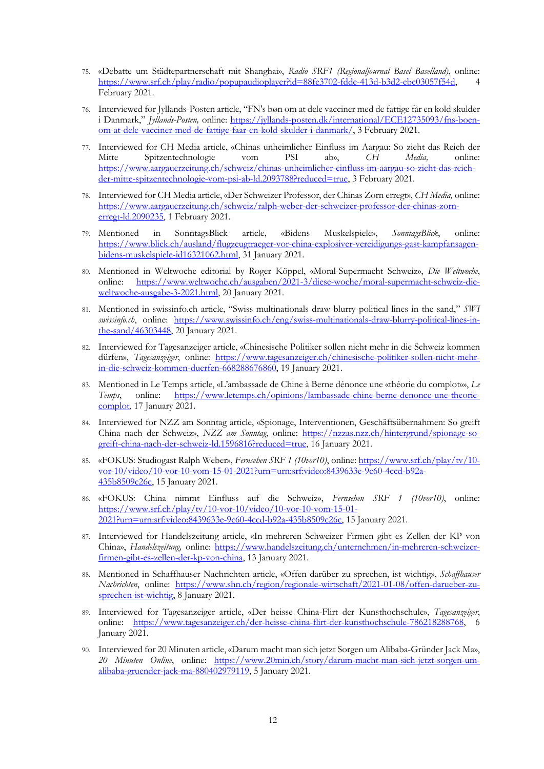- 75. «Debatte um Städtepartnerschaft mit Shanghai», *Radio SRF1 (Regionaljournal Basel Baselland)*, online: https://www.srf.ch/play/radio/popupaudioplayer?id=88fe3702-fdde-413d-b3d2-ebc03057f54d, 4 February 2021.
- 76. Interviewed for Jyllands-Posten article, "FN's bøn om at dele vacciner med de fattige får en kold skulder i Danmark," *Jyllands-Posten,* online: https://jyllands-posten.dk/international/ECE12735093/fns-boenom-at-dele-vacciner-med-de-fattige-faar-en-kold-skulder-i-danmark/, 3 February 2021.
- 77. Interviewed for CH Media article, «Chinas unheimlicher Einfluss im Aargau: So zieht das Reich der Mitte Spitzentechnologie vom PSI ab», *CH Media,* online: https://www.aargauerzeitung.ch/schweiz/chinas-unheimlicher-einfluss-im-aargau-so-zieht-das-reichder-mitte-spitzentechnologie-vom-psi-ab-ld.2093788?reduced=true, 3 February 2021.
- 78. Interviewed for CH Media article, «Der Schweizer Professor, der Chinas Zorn erregt», *CH Media,* online: https://www.aargauerzeitung.ch/schweiz/ralph-weber-der-schweizer-professor-der-chinas-zornerregt-ld.2090235, 1 February 2021.
- 79. Mentioned in SonntagsBlick article, «Bidens Muskelspiele», *SonntagsBlick*, online: https://www.blick.ch/ausland/flugzeugtraeger-vor-china-explosiver-vereidigungs-gast-kampfansagenbidens-muskelspiele-id16321062.html, 31 January 2021.
- 80. Mentioned in Weltwoche editorial by Roger Köppel, «Moral-Supermacht Schweiz», *Die Weltwoche*, online: https://www.weltwoche.ch/ausgaben/2021-3/diese-woche/moral-supermacht-schweiz-dieweltwoche-ausgabe-3-2021.html, 20 January 2021.
- 81. Mentioned in swissinfo.ch article, "Swiss multinationals draw blurry political lines in the sand," *SWI swissinfo.ch*, online: https://www.swissinfo.ch/eng/swiss-multinationals-draw-blurry-political-lines-inthe-sand/46303448, 20 January 2021.
- 82. Interviewed for Tagesanzeiger article, «Chinesische Politiker sollen nicht mehr in die Schweiz kommen dürfen», *Tagesanzeiger*, online: https://www.tagesanzeiger.ch/chinesische-politiker-sollen-nicht-mehrin-die-schweiz-kommen-duerfen-668288676860, 19 January 2021.
- 83. Mentioned in Le Temps article, «L'ambassade de Chine à Berne dénonce une «théorie du complot»», *Le Temps*, online: https://www.letemps.ch/opinions/lambassade-chine-berne-denonce-une-theoriecomplot, 17 January 2021.
- 84. Interviewed for NZZ am Sonntag article, «Spionage, Interventionen, Geschäftsübernahmen: So greift China nach der Schweiz», *NZZ am Sonntag*, online: https://nzzas.nzz.ch/hintergrund/spionage-sogreift-china-nach-der-schweiz-ld.1596816?reduced=true, 16 January 2021.
- 85. «FOKUS: Studiogast Ralph Weber», *Fernsehen SRF 1 (10vor10)*, online: https://www.srf.ch/play/tv/10 vor-10/video/10-vor-10-vom-15-01-2021?urn=urn:srf:video:8439633e-9c60-4ccd-b92a-435b8509c26c, 15 January 2021.
- 86. «FOKUS: China nimmt Einfluss auf die Schweiz», *Fernsehen SRF 1 (10vor10)*, online: https://www.srf.ch/play/tv/10-vor-10/video/10-vor-10-vom-15-01- 2021?urn=urn:srf:video:8439633e-9c60-4ccd-b92a-435b8509c26c, 15 January 2021.
- 87. Interviewed for Handelszeitung article, «In mehreren Schweizer Firmen gibt es Zellen der KP von China», *Handelszeitung,* online: https://www.handelszeitung.ch/unternehmen/in-mehreren-schweizerfirmen-gibt-es-zellen-der-kp-von-china, 13 January 2021.
- 88. Mentioned in Schaffhauser Nachrichten article, «Offen darüber zu sprechen, ist wichtig», *Schaffhauser Nachrichten*, online: https://www.shn.ch/region/regionale-wirtschaft/2021-01-08/offen-darueber-zusprechen-ist-wichtig, 8 January 2021.
- 89. Interviewed for Tagesanzeiger article, «Der heisse China-Flirt der Kunsthochschule», *Tagesanzeiger*, online: https://www.tagesanzeiger.ch/der-heisse-china-flirt-der-kunsthochschule-786218288768, January 2021.
- 90. Interviewed for 20 Minuten article, «Darum macht man sich jetzt Sorgen um Alibaba-Gründer Jack Ma», *20 Minuten Online*, online: https://www.20min.ch/story/darum-macht-man-sich-jetzt-sorgen-umalibaba-gruender-jack-ma-880402979119, 5 January 2021.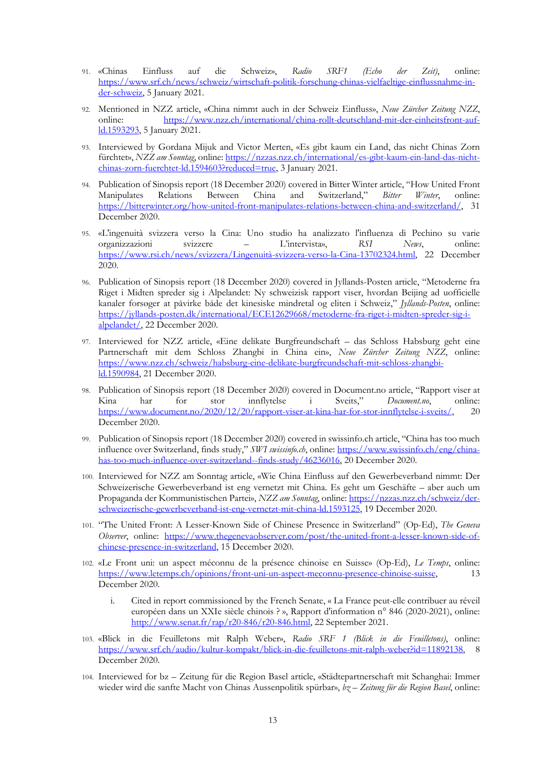- 91. «Chinas Einfluss auf die Schweiz», *Radio SRF1 (Echo der Zeit)*, online: https://www.srf.ch/news/schweiz/wirtschaft-politik-forschung-chinas-vielfaeltige-einflussnahme-inder-schweiz, 5 January 2021.
- 92. Mentioned in NZZ article, «China nimmt auch in der Schweiz Einfluss», *Neue Zürcher Zeitung NZZ*, online: https://www.nzz.ch/international/china-rollt-deutschland-mit-der-einheitsfront-aufld.1593293, 5 January 2021.
- 93. Interviewed by Gordana Mijuk and Victor Merten, «Es gibt kaum ein Land, das nicht Chinas Zorn fürchtet», *NZZ am Sonntag*, online: https://nzzas.nzz.ch/international/es-gibt-kaum-ein-land-das-nichtchinas-zorn-fuerchtet-ld.1594603?reduced=true, 3 January 2021.
- 94. Publication of Sinopsis report (18 December 2020) covered in Bitter Winter article, "How United Front Manipulates Relations Between China and Switzerland," *Bitter Winter*, online: https://bitterwinter.org/how-united-front-manipulates-relations-between-china-and-switzerland/, 31 December 2020.
- 95. «L'ingenuità svizzera verso la Cina: Uno studio ha analizzato l'influenza di Pechino su varie organizzazioni svizzere – L'intervista», *RSI News*, online: https://www.rsi.ch/news/svizzera/Lingenuità-svizzera-verso-la-Cina-13702324.html, 22 December 2020.
- 96. Publication of Sinopsis report (18 December 2020) covered in Jyllands-Posten article, "Metoderne fra Riget i Midten spreder sig i Alpelandet: Ny schweizisk rapport viser, hvordan Beijing ad uofficielle kanaler forsøger at påvirke både det kinesiske mindretal og eliten i Schweiz," *Jyllands-Posten*, online: https://jyllands-posten.dk/international/ECE12629668/metoderne-fra-riget-i-midten-spreder-sig-ialpelandet/, 22 December 2020.
- 97. Interviewed for NZZ article, «Eine delikate Burgfreundschaft das Schloss Habsburg geht eine Partnerschaft mit dem Schloss Zhangbi in China ein», *Neue Zürcher Zeitung NZZ*, online: https://www.nzz.ch/schweiz/habsburg-eine-delikate-burgfreundschaft-mit-schloss-zhangbild.1590984, 21 December 2020.
- 98. Publication of Sinopsis report (18 December 2020) covered in Document.no article, "Rapport viser at Kina har for stor innflytelse i Sveits," *Document.no*, online: https://www.document.no/2020/12/20/rapport-viser-at-kina-har-for-stor-innflytelse-i-sveits/, 20 December 2020.
- 99. Publication of Sinopsis report (18 December 2020) covered in swissinfo.ch article, "China has too much influence over Switzerland, finds study," *SWI swissinfo.ch*, online: https://www.swissinfo.ch/eng/chinahas-too-much-influence-over-switzerland--finds-study/46236016, 20 December 2020.
- 100. Interviewed for NZZ am Sonntag article, «Wie China Einfluss auf den Gewerbeverband nimmt: Der Schweizerische Gewerbeverband ist eng vernetzt mit China. Es geht um Geschäfte – aber auch um Propaganda der Kommunistischen Partei», *NZZ am Sonntag*, online: https://nzzas.nzz.ch/schweiz/derschweizerische-gewerbeverband-ist-eng-vernetzt-mit-china-ld.1593125, 19 December 2020.
- 101. "The United Front: A Lesser-Known Side of Chinese Presence in Switzerland" (Op-Ed), *The Geneva Observer*, online: https://www.thegenevaobserver.com/post/the-united-front-a-lesser-known-side-ofchinese-presence-in-switzerland, 15 December 2020.
- 102. «Le Front uni: un aspect méconnu de la présence chinoise en Suisse» (Op-Ed), *Le Temps*, online: https://www.letemps.ch/opinions/front-uni-un-aspect-meconnu-presence-chinoise-suisse, 13 December 2020.
	- i. Cited in report commissioned by the French Senate, « La France peut-elle contribuer au réveil européen dans un XXIe siècle chinois ? », Rapport d'information n° 846 (2020-2021), online: http://www.senat.fr/rap/r20-846/r20-846.html, 22 September 2021.
- 103. «Blick in die Feuilletons mit Ralph Weber», *Radio SRF 1 (Blick in die Feuilletons)*, online: https://www.srf.ch/audio/kultur-kompakt/blick-in-die-feuilletons-mit-ralph-weber?id=11892138, December 2020.
- 104. Interviewed for bz Zeitung für die Region Basel article, «Städtepartnerschaft mit Schanghai: Immer wieder wird die sanfte Macht von Chinas Aussenpolitik spürbar», *bz – Zeitung für die Region Basel*, online: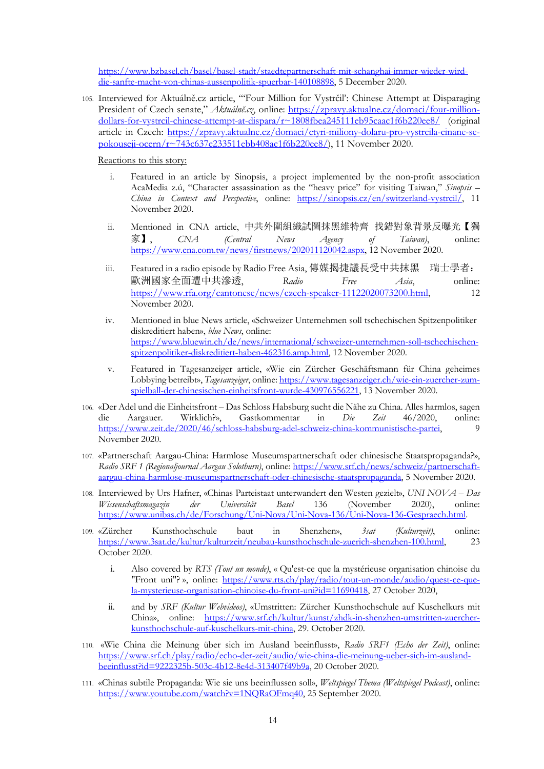https://www.bzbasel.ch/basel/basel-stadt/staedtepartnerschaft-mit-schanghai-immer-wieder-wirddie-sanfte-macht-von-chinas-aussenpolitik-spuerbar-140108898, 5 December 2020.

105. Interviewed for Aktuálně.cz article, "'Four Million for Vystrčil': Chinese Attempt at Disparaging President of Czech senate," Aktuálně.cz, online: https://zpravy.aktualne.cz/domaci/four-milliondollars-for-vystrcil-chinese-attempt-at-dispara/r~1808fbea245111eb95caac1f6b220ee8/ (original article in Czech: https://zpravy.aktualne.cz/domaci/ctyri-miliony-dolaru-pro-vystrcila-cinane-sepokouseji-ocern/r~743c637e233511ebb408ac1f6b220ee8/), 11 November 2020.

Reactions to this story:

- i. Featured in an article by Sinopsis, a project implemented by the non-profit association AcaMedia z.ú, "Character assassination as the "heavy price" for visiting Taiwan," *Sinopsis – China in Context and Perspective*, online: https://sinopsis.cz/en/switzerland-vystrcil/, 11 November 2020.
- ii. Mentioned in CNA article, 中共外圍組織試圖抹黑維特齊 找錯對象背景反曝光【獨 家】, *CNA (Central News Agency of Taiwan)*, online: https://www.cna.com.tw/news/firstnews/202011120042.aspx, 12 November 2020.
- iii. Featured in a radio episode by Radio Free Asia, 傳媒揭捷議長受中共抹黑 瑞士學者: 歐洲國家全面遭中共滲透, *Radio Free Asia*, online: https://www.rfa.org/cantonese/news/czech-speaker-11122020073200.html, 12 November 2020.
- iv. Mentioned in blue News article, «Schweizer Unternehmen soll tschechischen Spitzenpolitiker diskreditiert haben», *blue News*, online: https://www.bluewin.ch/de/news/international/schweizer-unternehmen-soll-tschechischenspitzenpolitiker-diskreditiert-haben-462316.amp.html, 12 November 2020.
- v. Featured in Tagesanzeiger article, «Wie ein Zürcher Geschäftsmann für China geheimes Lobbying betreibt», *Tagesanzeiger*, online: https://www.tagesanzeiger.ch/wie-ein-zuercher-zumspielball-der-chinesischen-einheitsfront-wurde-430976556221, 13 November 2020.
- 106. «Der Adel und die Einheitsfront Das Schloss Habsburg sucht die Nähe zu China. Alles harmlos, sagen die Aargauer. Wirklich?», Gastkommentar in *Die Zeit* 46/2020, online: https://www.zeit.de/2020/46/schloss-habsburg-adel-schweiz-china-kommunistische-partei, 9 November 2020.
- 107. «Partnerschaft Aargau-China: Harmlose Museumspartnerschaft oder chinesische Staatspropaganda?», *Radio SRF 1 (Regionaljournal Aargau Solothurn)*, online: https://www.srf.ch/news/schweiz/partnerschaftaargau-china-harmlose-museumspartnerschaft-oder-chinesische-staatspropaganda, 5 November 2020.
- 108. Interviewed by Urs Hafner, «Chinas Parteistaat unterwandert den Westen gezielt», *UNI NOVA – Das Wissenschaftsmagazin der Universität Basel* 136 (November 2020), online: https://www.unibas.ch/de/Forschung/Uni-Nova/Uni-Nova-136/Uni-Nova-136-Gespraech.html.
- 109. «Zürcher Kunsthochschule baut in Shenzhen», *3sat (Kulturzeit)*, online: https://www.3sat.de/kultur/kulturzeit/neubau-kunsthochschule-zuerich-shenzhen-100.html, 23 October 2020.
	- i. Also covered by *RTS (Tout un monde)*, « Qu'est-ce que la mystérieuse organisation chinoise du "Front uni"? », online: https://www.rts.ch/play/radio/tout-un-monde/audio/quest-ce-quela-mysterieuse-organisation-chinoise-du-front-uni?id=11690418, 27 October 2020,
	- ii. and by *SRF (Kultur Webvideos)*, «Umstritten: Zürcher Kunsthochschule auf Kuschelkurs mit China», online: https://www.srf.ch/kultur/kunst/zhdk-in-shenzhen-umstritten-zuercherkunsthochschule-auf-kuschelkurs-mit-china, 29. October 2020.
- 110. «Wie China die Meinung über sich im Ausland beeinflusst», *Radio SRF1 (Echo der Zeit)*, online: https://www.srf.ch/play/radio/echo-der-zeit/audio/wie-china-die-meinung-ueber-sich-im-auslandbeeinflusst?id=9222325b-503c-4b12-8e4d-313407f49b9a, 20 October 2020.
- 111. «Chinas subtile Propaganda: Wie sie uns beeinflussen soll», *Weltspiegel Thema (Weltspiegel Podcast)*, online: https://www.youtube.com/watch?v=1NQRaOFmq40, 25 September 2020.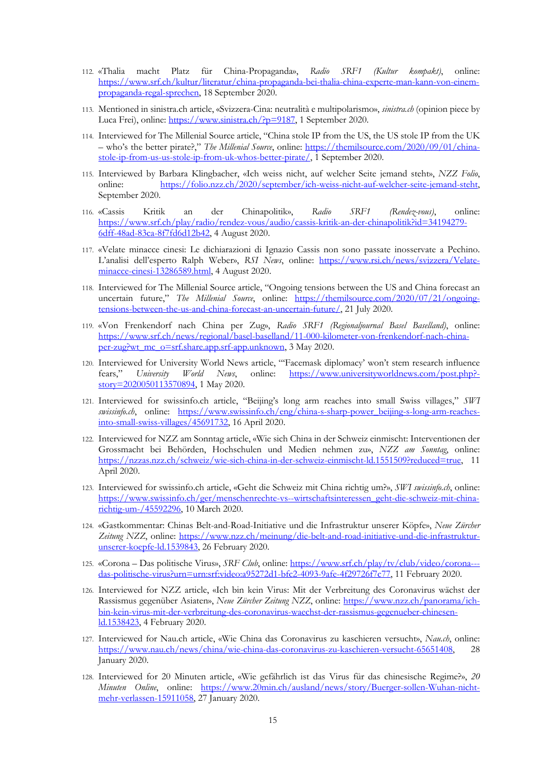- 112. «Thalia macht Platz für China-Propaganda», *Radio SRF1 (Kultur kompakt)*, online: https://www.srf.ch/kultur/literatur/china-propaganda-bei-thalia-china-experte-man-kann-von-einempropaganda-regal-sprechen, 18 September 2020.
- 113. Mentioned in sinistra.ch article, «Svizzera-Cina: neutralità e multipolarismo», *sinistra.ch* (opinion piece by Luca Frei), online: https://www.sinistra.ch/?p=9187, 1 September 2020.
- 114. Interviewed for The Millenial Source article, "China stole IP from the US, the US stole IP from the UK – who's the better pirate?," *The Millenial Source*, online: https://themilsource.com/2020/09/01/chinastole-ip-from-us-us-stole-ip-from-uk-whos-better-pirate/, 1 September 2020.
- 115. Interviewed by Barbara Klingbacher, «Ich weiss nicht, auf welcher Seite jemand steht», *NZZ Folio*, online: https://folio.nzz.ch/2020/september/ich-weiss-nicht-auf-welcher-seite-jemand-steht, September 2020.
- 116. «Cassis Kritik an der Chinapolitik», *Radio SRF1 (Rendez-vous)*, online: https://www.srf.ch/play/radio/rendez-vous/audio/cassis-kritik-an-der-chinapolitik?id=34194279- 6dff-48ad-83ca-8f7fd6d12b42, 4 August 2020.
- 117. «Velate minacce cinesi: Le dichiarazioni di Ignazio Cassis non sono passate inosservate a Pechino. L'analisi dell'esperto Ralph Weber», *RSI News*, online: https://www.rsi.ch/news/svizzera/Velateminacce-cinesi-13286589.html, 4 August 2020.
- 118. Interviewed for The Millenial Source article, "Ongoing tensions between the US and China forecast an uncertain future," *The Millenial Source*, online: https://themilsource.com/2020/07/21/ongoingtensions-between-the-us-and-china-forecast-an-uncertain-future/, 21 July 2020.
- 119. «Von Frenkendorf nach China per Zug», *Radio SRF1 (Regionaljournal Basel Baselland)*, online: https://www.srf.ch/news/regional/basel-baselland/11-000-kilometer-von-frenkendorf-nach-chinaper-zug?wt\_mc\_o=srf.share.app.srf-app.unknown, 3 May 2020.
- 120. Interviewed for University World News article, "'Facemask diplomacy' won't stem research influence fears," *University World News*, online: https://www.universityworldnews.com/post.php? story=2020050113570894, 1 May 2020.
- 121. Interviewed for swissinfo.ch article, "Beijing's long arm reaches into small Swiss villages," *SWI swissinfo.ch*, online: https://www.swissinfo.ch/eng/china-s-sharp-power\_beijing-s-long-arm-reachesinto-small-swiss-villages/45691732, 16 April 2020.
- 122. Interviewed for NZZ am Sonntag article, «Wie sich China in der Schweiz einmischt: Interventionen der Grossmacht bei Behörden, Hochschulen und Medien nehmen zu», *NZZ am Sonntag*, online: https://nzzas.nzz.ch/schweiz/wie-sich-china-in-der-schweiz-einmischt-ld.1551509?reduced=true, 11 April 2020.
- 123. Interviewed for swissinfo.ch article, «Geht die Schweiz mit China richtig um?», *SWI swissinfo.ch*, online: https://www.swissinfo.ch/ger/menschenrechte-vs--wirtschaftsinteressen\_geht-die-schweiz-mit-chinarichtig-um-/45592296, 10 March 2020.
- 124. «Gastkommentar: Chinas Belt-and-Road-Initiative und die Infrastruktur unserer Köpfe», *Neue Zürcher*  Zeitung NZZ, online: https://www.nzz.ch/meinung/die-belt-and-road-initiative-und-die-infrastrukturunserer-koepfe-ld.1539843, 26 February 2020.
- 125. «Corona Das politische Virus», *SRF Club*, online: https://www.srf.ch/play/tv/club/video/corona-- das-politische-virus?urn=urn:srf:video:a95272d1-bfc2-4093-9afe-4f29726f7c77, 11 February 2020.
- 126. Interviewed for NZZ article, «Ich bin kein Virus: Mit der Verbreitung des Coronavirus wächst der Rassismus gegenüber Asiaten», *Neue Zürcher Zeitung NZZ*, online: https://www.nzz.ch/panorama/ichbin-kein-virus-mit-der-verbreitung-des-coronavirus-waechst-der-rassismus-gegenueber-chinesenld.1538423, 4 February 2020.
- 127. Interviewed for Nau.ch article, «Wie China das Coronavirus zu kaschieren versucht», *Nau.ch*, online: https://www.nau.ch/news/china/wie-china-das-coronavirus-zu-kaschieren-versucht-65651408, 28 January 2020.
- 128. Interviewed for 20 Minuten article, «Wie gefährlich ist das Virus für das chinesische Regime?», *20 Minuten Online*, online: https://www.20min.ch/ausland/news/story/Buerger-sollen-Wuhan-nichtmehr-verlassen-15911058, 27 January 2020.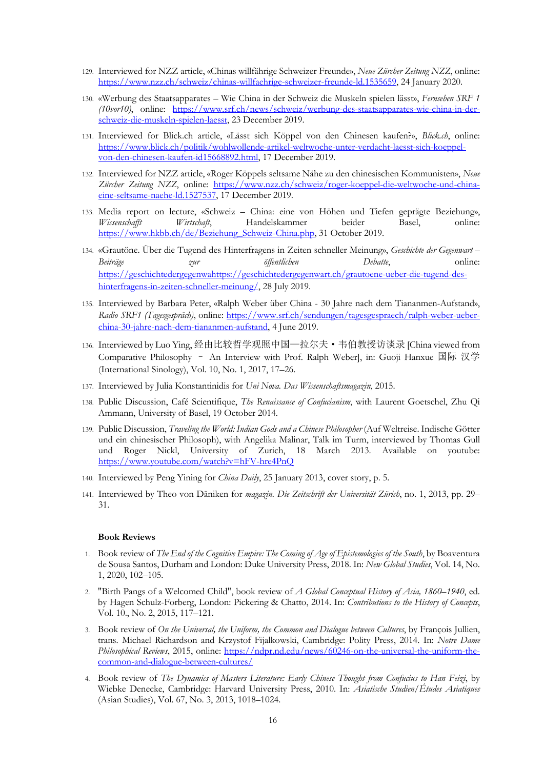- 129. Interviewed for NZZ article, «Chinas willfährige Schweizer Freunde», *Neue Zürcher Zeitung NZZ*, online: https://www.nzz.ch/schweiz/chinas-willfaehrige-schweizer-freunde-ld.1535659, 24 January 2020.
- 130. «Werbung des Staatsapparates Wie China in der Schweiz die Muskeln spielen lässt», *Fernsehen SRF 1 (10vor10)*, online: https://www.srf.ch/news/schweiz/werbung-des-staatsapparates-wie-china-in-derschweiz-die-muskeln-spielen-laesst, 23 December 2019.
- 131. Interviewed for Blick.ch article, «Lässt sich Köppel von den Chinesen kaufen?», *Blick.ch*, online: https://www.blick.ch/politik/wohlwollende-artikel-weltwoche-unter-verdacht-laesst-sich-koeppelvon-den-chinesen-kaufen-id15668892.html, 17 December 2019.
- 132. Interviewed for NZZ article, «Roger Köppels seltsame Nähe zu den chinesischen Kommunisten», *Neue Zürcher Zeitung NZZ*, online: https://www.nzz.ch/schweiz/roger-koeppel-die-weltwoche-und-chinaeine-seltsame-naehe-ld.1527537, 17 December 2019.
- 133. Media report on lecture, «Schweiz China: eine von Höhen und Tiefen geprägte Beziehung», *Wissenschafft Wirtschaft*, Handelskammer beider Basel, online: https://www.hkbb.ch/de/Beziehung\_Schweiz-China.php, 31 October 2019.
- 134. «Grautöne. Über die Tugend des Hinterfragens in Zeiten schneller Meinung», *Geschichte der Gegenwart – Beiträge zur öffentlichen Debatte*, online: https://geschichtedergegenwahttps://geschichtedergegenwart.ch/grautoene-ueber-die-tugend-deshinterfragens-in-zeiten-schneller-meinung/, 28 July 2019.
- 135. Interviewed by Barbara Peter, «Ralph Weber über China 30 Jahre nach dem Tiananmen-Aufstand», *Radio SRF1 (Tagesgespräch)*, online: https://www.srf.ch/sendungen/tagesgespraech/ralph-weber-ueberchina-30-jahre-nach-dem-tiananmen-aufstand, 4 June 2019.
- 136. Interviewed by Luo Ying, 经由比较哲学观照中国—拉尔夫·韦伯教授访谈录 [China viewed from Comparative Philosophy – An Interview with Prof. Ralph Weber], in: Guoji Hanxue 国际 汉学 (International Sinology), Vol. 10, No. 1, 2017, 17–26.
- 137. Interviewed by Julia Konstantinidis for *Uni Nova. Das Wissenschaftsmagazin*, 2015.
- 138. Public Discussion, Café Scientifique, *The Renaissance of Confucianism*, with Laurent Goetschel, Zhu Qi Ammann, University of Basel, 19 October 2014.
- 139. Public Discussion, *Traveling the World: Indian Gods and a Chinese Philosopher* (Auf Weltreise. Indische Götter und ein chinesischer Philosoph), with Angelika Malinar, Talk im Turm, interviewed by Thomas Gull und Roger Nickl, University of Zurich, 18 March 2013. Available on youtube: https://www.youtube.com/watch?v=hFV-hre4PnQ
- 140. Interviewed by Peng Yining for *China Daily*, 25 January 2013, cover story, p. 5.
- 141. Interviewed by Theo von Däniken for *magazin. Die Zeitschrift der Universität Zürich*, no. 1, 2013, pp. 29– 31.

#### **Book Reviews**

- 1. Book review of *The End of the Cognitive Empire: The Coming of Age of Epistemologies of the South*, by Boaventura de Sousa Santos, Durham and London: Duke University Press, 2018. In: *New Global Studies*, Vol. 14, No. 1, 2020, 102–105.
- 2. "Birth Pangs of a Welcomed Child", book review of *A Global Conceptual History of Asia, 1860–1940*, ed. by Hagen Schulz-Forberg, London: Pickering & Chatto, 2014. In: *Contributions to the History of Concepts*, Vol. 10., No. 2, 2015, 117–121.
- 3. Book review of *On the Universal, the Uniform, the Common and Dialogue between Cultures*, by François Jullien, trans. Michael Richardson and Krzystof Fijalkowski, Cambridge: Polity Press, 2014. In: *Notre Dame Philosophical Reviews*, 2015, online: https://ndpr.nd.edu/news/60246-on-the-universal-the-uniform-thecommon-and-dialogue-between-cultures/
- 4. Book review of *The Dynamics of Masters Literature: Early Chinese Thought from Confucius to Han Feizi*, by Wiebke Denecke, Cambridge: Harvard University Press, 2010. In: *Asiatische Studien/Études Asiatiques* (Asian Studies), Vol. 67, No. 3, 2013, 1018–1024.